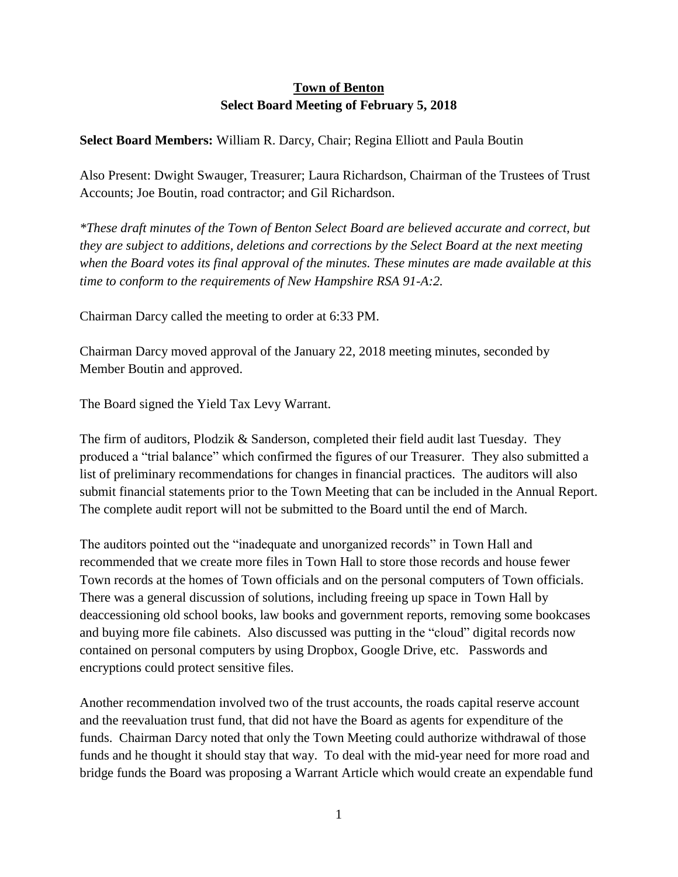## **Town of Benton Select Board Meeting of February 5, 2018**

## **Select Board Members:** William R. Darcy, Chair; Regina Elliott and Paula Boutin

Also Present: Dwight Swauger, Treasurer; Laura Richardson, Chairman of the Trustees of Trust Accounts; Joe Boutin, road contractor; and Gil Richardson.

*\*These draft minutes of the Town of Benton Select Board are believed accurate and correct, but they are subject to additions, deletions and corrections by the Select Board at the next meeting when the Board votes its final approval of the minutes. These minutes are made available at this time to conform to the requirements of New Hampshire RSA 91-A:2.*

Chairman Darcy called the meeting to order at 6:33 PM.

Chairman Darcy moved approval of the January 22, 2018 meeting minutes, seconded by Member Boutin and approved.

The Board signed the Yield Tax Levy Warrant.

The firm of auditors, Plodzik & Sanderson, completed their field audit last Tuesday. They produced a "trial balance" which confirmed the figures of our Treasurer. They also submitted a list of preliminary recommendations for changes in financial practices. The auditors will also submit financial statements prior to the Town Meeting that can be included in the Annual Report. The complete audit report will not be submitted to the Board until the end of March.

The auditors pointed out the "inadequate and unorganized records" in Town Hall and recommended that we create more files in Town Hall to store those records and house fewer Town records at the homes of Town officials and on the personal computers of Town officials. There was a general discussion of solutions, including freeing up space in Town Hall by deaccessioning old school books, law books and government reports, removing some bookcases and buying more file cabinets. Also discussed was putting in the "cloud" digital records now contained on personal computers by using Dropbox, Google Drive, etc. Passwords and encryptions could protect sensitive files.

Another recommendation involved two of the trust accounts, the roads capital reserve account and the reevaluation trust fund, that did not have the Board as agents for expenditure of the funds. Chairman Darcy noted that only the Town Meeting could authorize withdrawal of those funds and he thought it should stay that way. To deal with the mid-year need for more road and bridge funds the Board was proposing a Warrant Article which would create an expendable fund